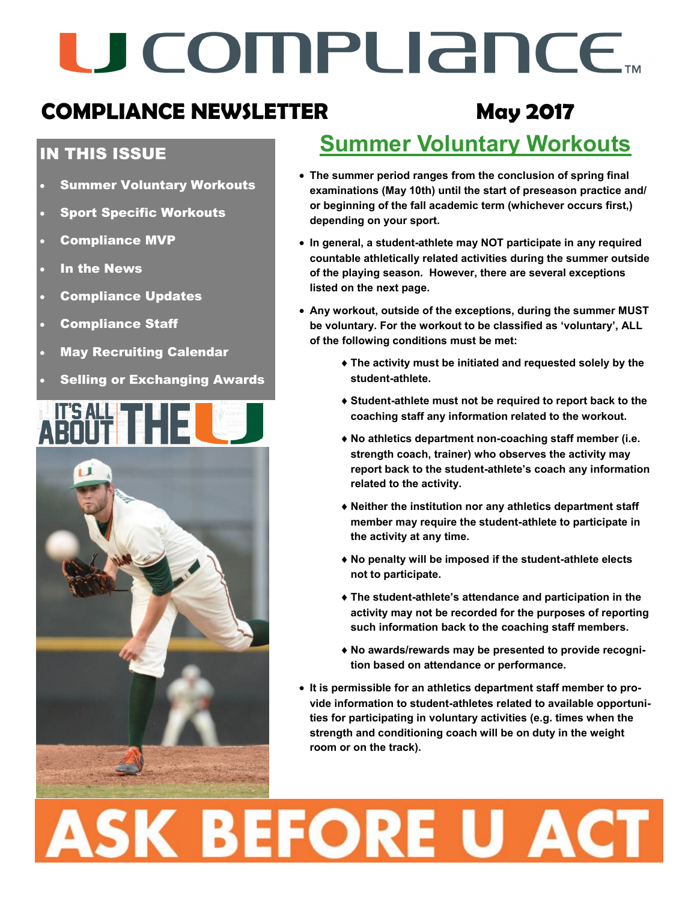# U COMPUANCE.

### **COMPLIANCE NEWSLETTER May 2017**

### IN THIS ISSUE

- Summer Voluntary Workouts
- Sport Specific Workouts
- Compliance MVP
- In the News
- Compliance Updates
- Compliance Staff
- May Recruiting Calendar
- Selling or Exchanging Awards



### **Summer Voluntary Workouts**

- **The summer period ranges from the conclusion of spring final examinations (May 10th) until the start of preseason practice and/ or beginning of the fall academic term (whichever occurs first,) depending on your sport.**
- **In general, a student-athlete may NOT participate in any required countable athletically related activities during the summer outside of the playing season. However, there are several exceptions listed on the next page.**
- **Any workout, outside of the exceptions, during the summer MUST be voluntary. For the workout to be classified as 'voluntary', ALL of the following conditions must be met:**
	- **The activity must be initiated and requested solely by the student-athlete.**
	- **Student-athlete must not be required to report back to the coaching staff any information related to the workout.**
	- **No athletics department non-coaching staff member (i.e. strength coach, trainer) who observes the activity may report back to the student-athlete's coach any information related to the activity.**
	- **Neither the institution nor any athletics department staff member may require the student-athlete to participate in the activity at any time.**
	- **No penalty will be imposed if the student-athlete elects not to participate.**
	- **The student-athlete's attendance and participation in the activity may not be recorded for the purposes of reporting such information back to the coaching staff members.**
	- **No awards/rewards may be presented to provide recognition based on attendance or performance.**
- **It is permissible for an athletics department staff member to provide information to student-athletes related to available opportunities for participating in voluntary activities (e.g. times when the strength and conditioning coach will be on duty in the weight room or on the track).**

# **ASK BEFORE U ACT**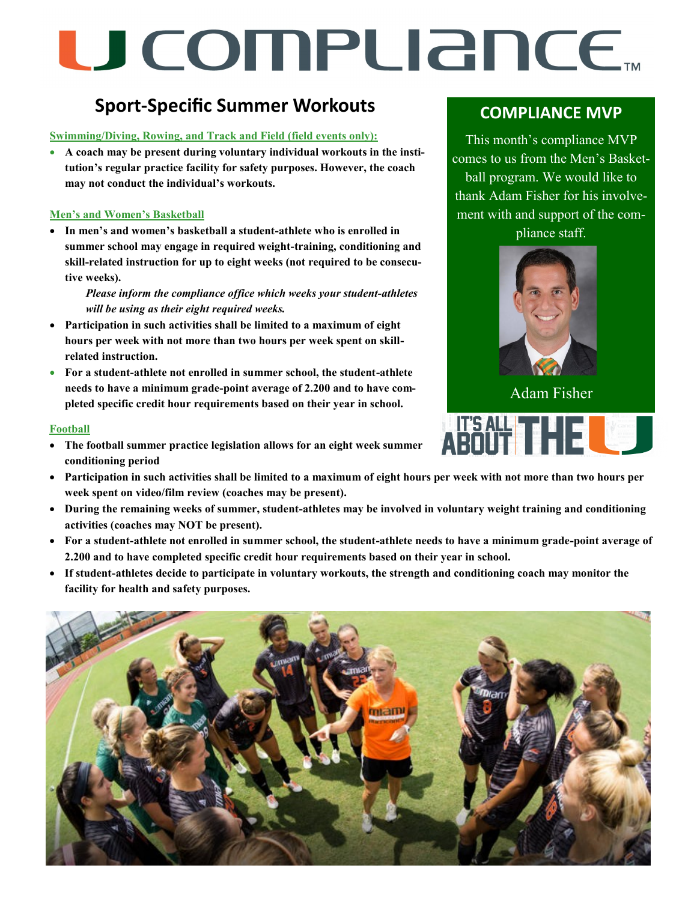# U COMPLIANCE.

### **Sport-Specific Summer Workouts**

**Swimming/Diving, Rowing, and Track and Field (field events only):** 

 **A coach may be present during voluntary individual workouts in the institution's regular practice facility for safety purposes. However, the coach may not conduct the individual's workouts.**

### **Men's and Women's Basketball**

 **In men's and women's basketball a student-athlete who is enrolled in summer school may engage in required weight-training, conditioning and skill-related instruction for up to eight weeks (not required to be consecutive weeks).**

*Please inform the compliance office which weeks your student-athletes will be using as their eight required weeks.*

- **Participation in such activities shall be limited to a maximum of eight hours per week with not more than two hours per week spent on skillrelated instruction.**
- **For a student-athlete not enrolled in summer school, the student-athlete needs to have a minimum grade-point average of 2.200 and to have completed specific credit hour requirements based on their year in school.**

### **Football**

- **The football summer practice legislation allows for an eight week summer conditioning period**
- **Participation in such activities shall be limited to a maximum of eight hours per week with not more than two hours per week spent on video/film review (coaches may be present).**
- **During the remaining weeks of summer, student-athletes may be involved in voluntary weight training and conditioning activities (coaches may NOT be present).**
- **For a student-athlete not enrolled in summer school, the student-athlete needs to have a minimum grade-point average of 2.200 and to have completed specific credit hour requirements based on their year in school.**
- **If student-athletes decide to participate in voluntary workouts, the strength and conditioning coach may monitor the facility for health and safety purposes.**



### **COMPLIANCE MVP**

This month's compliance MVP comes to us from the Men's Basketball program. We would like to thank Adam Fisher for his involvement with and support of the com-

pliance staff.



Adam Fisher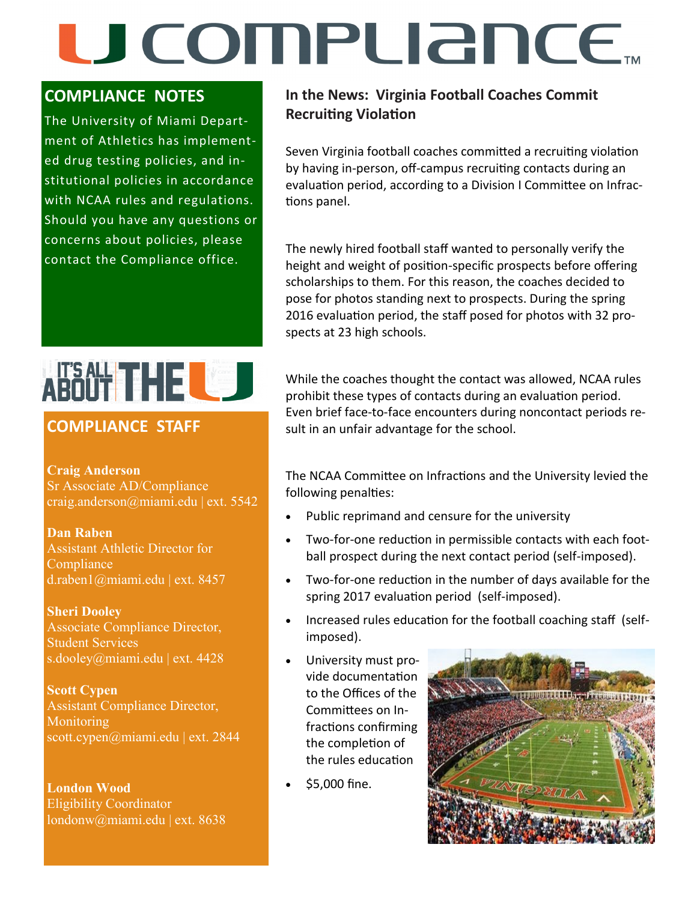## U COMPLIANCE.

### **COMPLIANCE NOTES**

The University of Miami Department of Athletics has implemented drug testing policies, and institutional policies in accordance with NCAA rules and regulations. Should you have any questions or concerns about policies, please contact the Compliance office.

### **In the News: Virginia Football Coaches Commit Recruiting Violation**

Seven Virginia football coaches committed a recruiting violation by having in-person, off-campus recruiting contacts during an evaluation period, according to a Division I Committee on Infractions panel.

The newly hired football staff wanted to personally verify the height and weight of position-specific prospects before offering scholarships to them. For this reason, the coaches decided to pose for photos standing next to prospects. During the spring 2016 evaluation period, the staff posed for photos with 32 prospects at 23 high schools.

While the coaches thought the contact was allowed, NCAA rules prohibit these types of contacts during an evaluation period. Even brief face-to-face encounters during noncontact periods result in an unfair advantage for the school.

The NCAA Committee on Infractions and the University levied the following penalties:

- Public reprimand and censure for the university
- Two-for-one reduction in permissible contacts with each football prospect during the next contact period (self-imposed).
- Two-for-one reduction in the number of days available for the spring 2017 evaluation period (self-imposed).
- Increased rules education for the football coaching staff (selfimposed).
- University must provide documentation to the Offices of the Committees on Infractions confirming the completion of the rules education
- \$5,000 fine.



## ARANT THE LO

### **COMPLIANCE STAFF**

### **Craig Anderson**

Sr Associate AD/Compliance craig.anderson@miami.edu | ext. 5542

**Dan Raben**  Assistant Athletic Director for Compliance<sup>'</sup> d.raben1@miami.edu | ext. 8457

**Sheri Dooley** Associate Compliance Director, Student Services s.dooley@miami.edu | ext. 4428

**Scott Cypen** Assistant Compliance Director, **Monitoring** scott.cypen@miami.edu | ext. 2844

**London Wood** Eligibility Coordinator londonw@miami.edu | ext. 8638